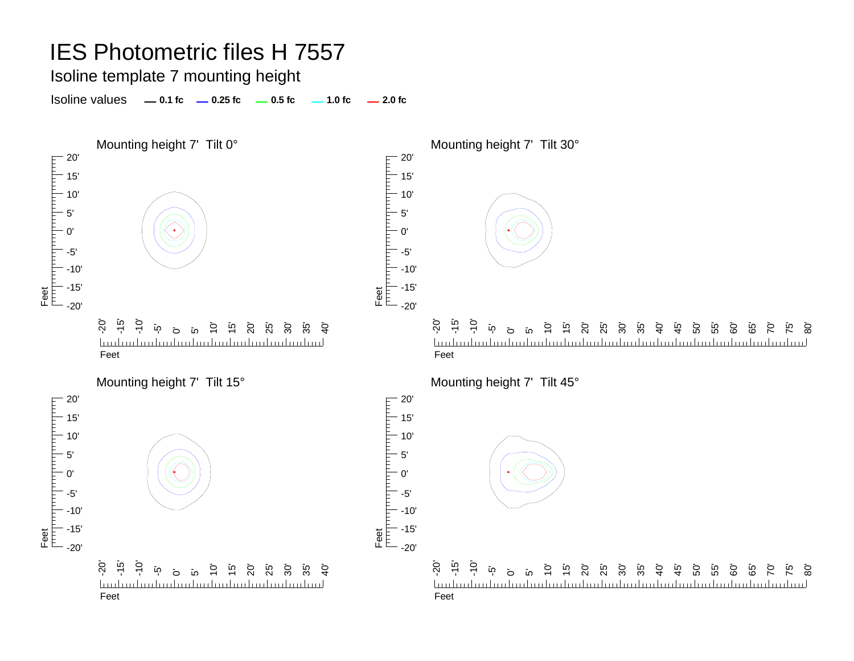### Isoline template 7 mounting height

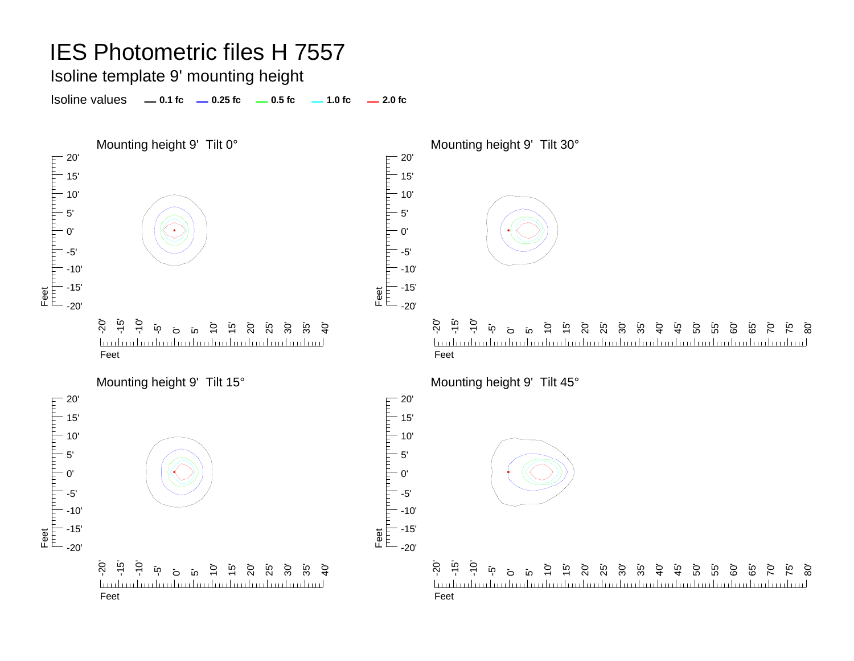### Isoline template 9' mounting height

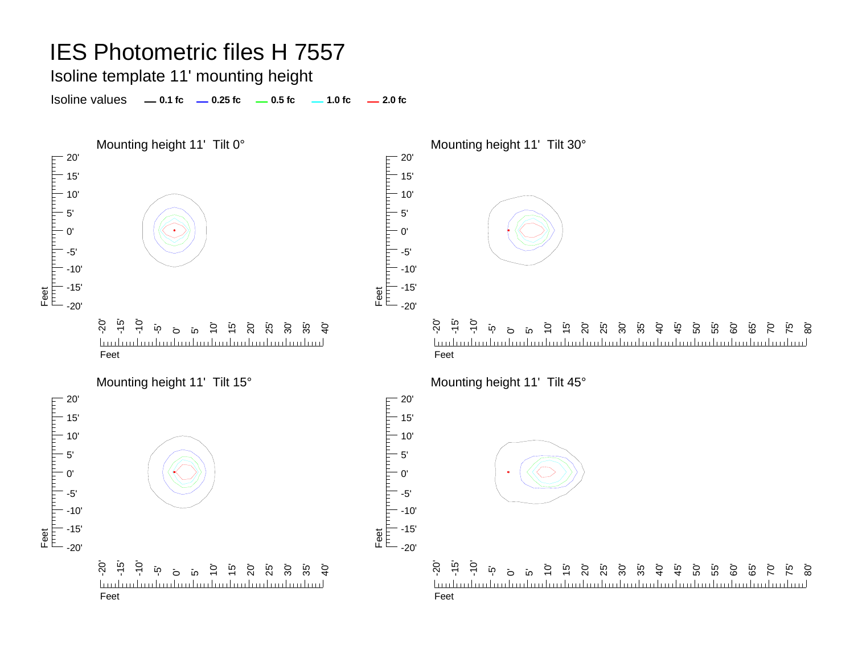Isoline template 11' mounting height

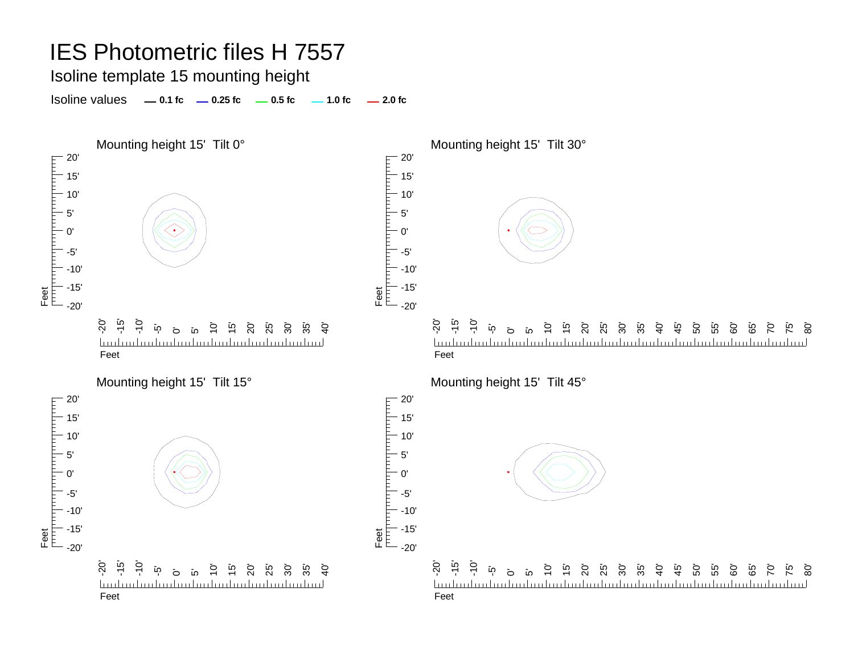### Isoline template 15 mounting height

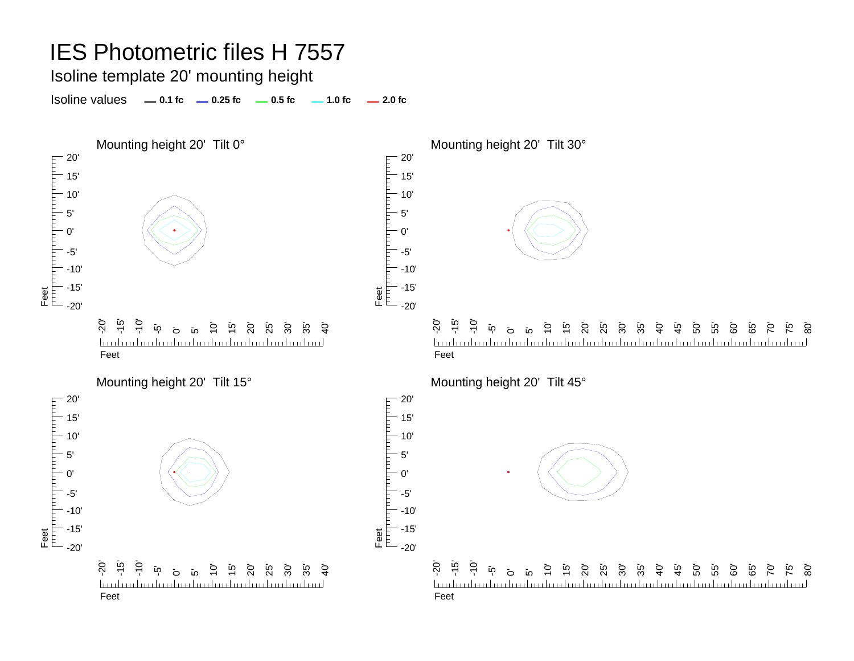Isoline template 20' mounting height

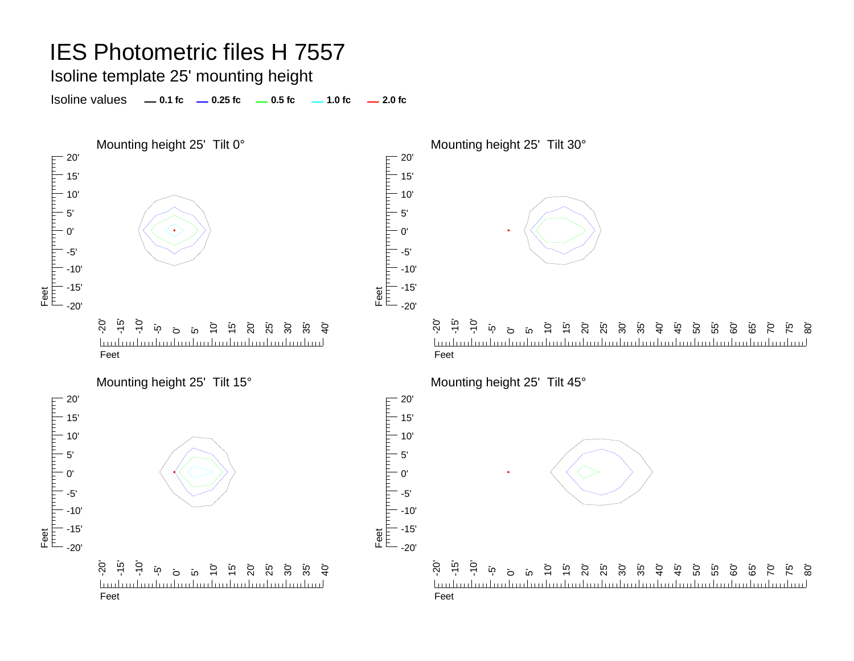Isoline template 25' mounting height